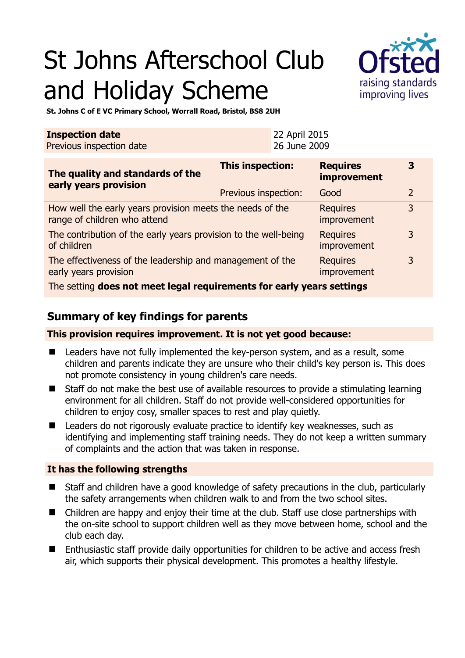# St Johns Afterschool Club and Holiday Scheme



**St. Johns C of E VC Primary School, Worrall Road, Bristol, BS8 2UH** 

| <b>Inspection date</b>   | 22 April 2015 |
|--------------------------|---------------|
| Previous inspection date | 26 June 2009  |

| The quality and standards of the<br>early years provision                                 | <b>This inspection:</b> | <b>Requires</b><br>improvement | 3              |
|-------------------------------------------------------------------------------------------|-------------------------|--------------------------------|----------------|
|                                                                                           | Previous inspection:    | Good                           | $\overline{2}$ |
| How well the early years provision meets the needs of the<br>range of children who attend |                         | <b>Requires</b><br>improvement | 3              |
| The contribution of the early years provision to the well-being<br>of children            |                         | <b>Requires</b><br>improvement | 3              |
| The effectiveness of the leadership and management of the<br>early years provision        |                         | <b>Requires</b><br>improvement | 3              |
| The setting does not meet legal requirements for early years settings                     |                         |                                |                |

## **Summary of key findings for parents**

**This provision requires improvement. It is not yet good because:** 

- Leaders have not fully implemented the key-person system, and as a result, some children and parents indicate they are unsure who their child's key person is. This does not promote consistency in young children's care needs.
- Staff do not make the best use of available resources to provide a stimulating learning environment for all children. Staff do not provide well-considered opportunities for children to enjoy cosy, smaller spaces to rest and play quietly.
- Leaders do not rigorously evaluate practice to identify key weaknesses, such as identifying and implementing staff training needs. They do not keep a written summary of complaints and the action that was taken in response.

### **It has the following strengths**

- Staff and children have a good knowledge of safety precautions in the club, particularly the safety arrangements when children walk to and from the two school sites.
- Children are happy and enjoy their time at the club. Staff use close partnerships with the on-site school to support children well as they move between home, school and the club each day.
- Enthusiastic staff provide daily opportunities for children to be active and access fresh air, which supports their physical development. This promotes a healthy lifestyle.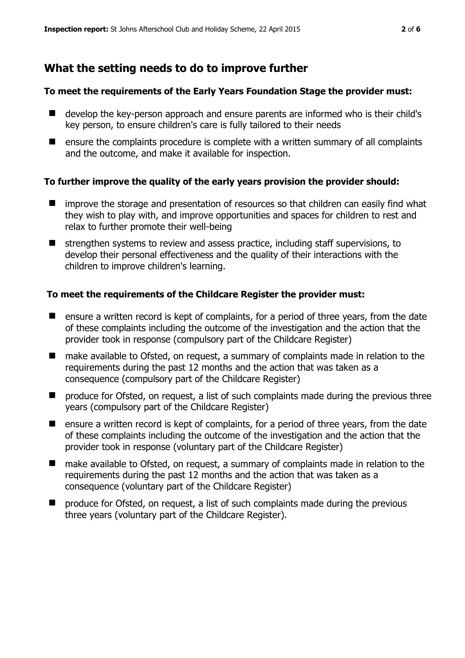## **What the setting needs to do to improve further**

#### **To meet the requirements of the Early Years Foundation Stage the provider must:**

- develop the key-person approach and ensure parents are informed who is their child's key person, to ensure children's care is fully tailored to their needs
- $\blacksquare$  ensure the complaints procedure is complete with a written summary of all complaints and the outcome, and make it available for inspection.

#### **To further improve the quality of the early years provision the provider should:**

- **If** improve the storage and presentation of resources so that children can easily find what they wish to play with, and improve opportunities and spaces for children to rest and relax to further promote their well-being
- strengthen systems to review and assess practice, including staff supervisions, to develop their personal effectiveness and the quality of their interactions with the children to improve children's learning.

#### **To meet the requirements of the Childcare Register the provider must:**

- **E** ensure a written record is kept of complaints, for a period of three years, from the date of these complaints including the outcome of the investigation and the action that the provider took in response (compulsory part of the Childcare Register)
- make available to Ofsted, on request, a summary of complaints made in relation to the requirements during the past 12 months and the action that was taken as a consequence (compulsory part of the Childcare Register)
- **P** produce for Ofsted, on request, a list of such complaints made during the previous three years (compulsory part of the Childcare Register)
- **E** ensure a written record is kept of complaints, for a period of three years, from the date of these complaints including the outcome of the investigation and the action that the provider took in response (voluntary part of the Childcare Register)
- make available to Ofsted, on request, a summary of complaints made in relation to the requirements during the past 12 months and the action that was taken as a consequence (voluntary part of the Childcare Register)
- produce for Ofsted, on request, a list of such complaints made during the previous three years (voluntary part of the Childcare Register).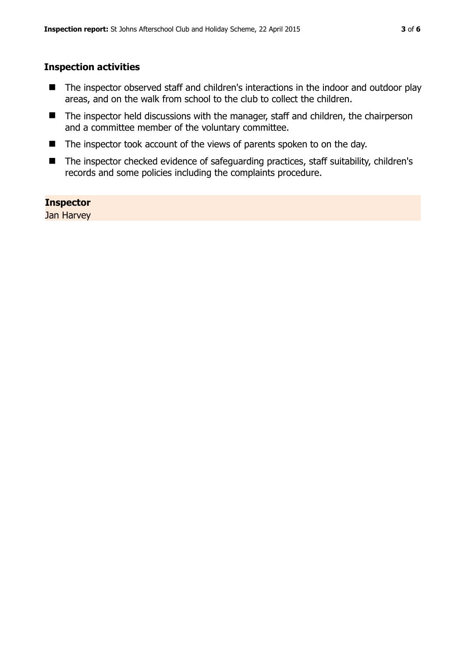#### **Inspection activities**

- The inspector observed staff and children's interactions in the indoor and outdoor play areas, and on the walk from school to the club to collect the children.
- The inspector held discussions with the manager, staff and children, the chairperson and a committee member of the voluntary committee.
- The inspector took account of the views of parents spoken to on the day.
- The inspector checked evidence of safeguarding practices, staff suitability, children's records and some policies including the complaints procedure.

#### **Inspector**

Jan Harvey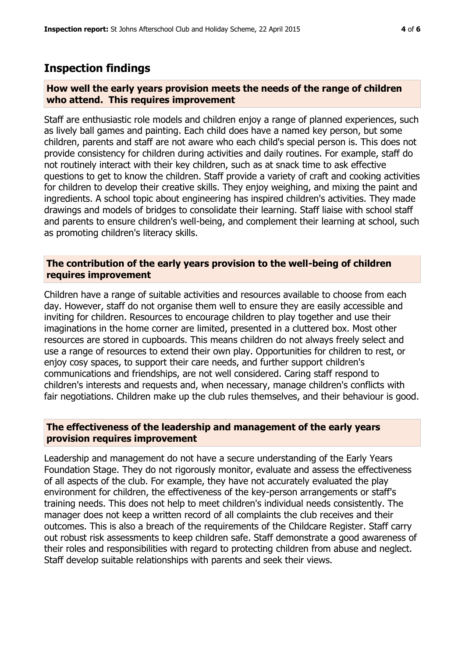## **Inspection findings**

#### **How well the early years provision meets the needs of the range of children who attend. This requires improvement**

Staff are enthusiastic role models and children enjoy a range of planned experiences, such as lively ball games and painting. Each child does have a named key person, but some children, parents and staff are not aware who each child's special person is. This does not provide consistency for children during activities and daily routines. For example, staff do not routinely interact with their key children, such as at snack time to ask effective questions to get to know the children. Staff provide a variety of craft and cooking activities for children to develop their creative skills. They enjoy weighing, and mixing the paint and ingredients. A school topic about engineering has inspired children's activities. They made drawings and models of bridges to consolidate their learning. Staff liaise with school staff and parents to ensure children's well-being, and complement their learning at school, such as promoting children's literacy skills.

#### **The contribution of the early years provision to the well-being of children requires improvement**

Children have a range of suitable activities and resources available to choose from each day. However, staff do not organise them well to ensure they are easily accessible and inviting for children. Resources to encourage children to play together and use their imaginations in the home corner are limited, presented in a cluttered box. Most other resources are stored in cupboards. This means children do not always freely select and use a range of resources to extend their own play. Opportunities for children to rest, or enjoy cosy spaces, to support their care needs, and further support children's communications and friendships, are not well considered. Caring staff respond to children's interests and requests and, when necessary, manage children's conflicts with fair negotiations. Children make up the club rules themselves, and their behaviour is good.

### **The effectiveness of the leadership and management of the early years provision requires improvement**

Leadership and management do not have a secure understanding of the Early Years Foundation Stage. They do not rigorously monitor, evaluate and assess the effectiveness of all aspects of the club. For example, they have not accurately evaluated the play environment for children, the effectiveness of the key-person arrangements or staff's training needs. This does not help to meet children's individual needs consistently. The manager does not keep a written record of all complaints the club receives and their outcomes. This is also a breach of the requirements of the Childcare Register. Staff carry out robust risk assessments to keep children safe. Staff demonstrate a good awareness of their roles and responsibilities with regard to protecting children from abuse and neglect. Staff develop suitable relationships with parents and seek their views.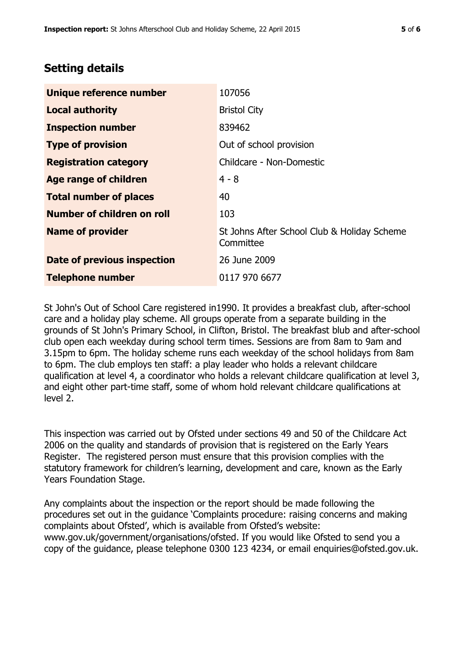## **Setting details**

| Unique reference number       | 107056                                                   |
|-------------------------------|----------------------------------------------------------|
| <b>Local authority</b>        | <b>Bristol City</b>                                      |
| <b>Inspection number</b>      | 839462                                                   |
| <b>Type of provision</b>      | Out of school provision                                  |
| <b>Registration category</b>  | Childcare - Non-Domestic                                 |
| Age range of children         | $4 - 8$                                                  |
| <b>Total number of places</b> | 40                                                       |
| Number of children on roll    | 103                                                      |
| <b>Name of provider</b>       | St Johns After School Club & Holiday Scheme<br>Committee |
| Date of previous inspection   | 26 June 2009                                             |
| <b>Telephone number</b>       | 0117 970 6677                                            |

St John's Out of School Care registered in1990. It provides a breakfast club, after-school care and a holiday play scheme. All groups operate from a separate building in the grounds of St John's Primary School, in Clifton, Bristol. The breakfast blub and after-school club open each weekday during school term times. Sessions are from 8am to 9am and 3.15pm to 6pm. The holiday scheme runs each weekday of the school holidays from 8am to 6pm. The club employs ten staff: a play leader who holds a relevant childcare qualification at level 4, a coordinator who holds a relevant childcare qualification at level 3, and eight other part-time staff, some of whom hold relevant childcare qualifications at level 2.

This inspection was carried out by Ofsted under sections 49 and 50 of the Childcare Act 2006 on the quality and standards of provision that is registered on the Early Years Register. The registered person must ensure that this provision complies with the statutory framework for children's learning, development and care, known as the Early Years Foundation Stage.

Any complaints about the inspection or the report should be made following the procedures set out in the guidance 'Complaints procedure: raising concerns and making complaints about Ofsted', which is available from Ofsted's website: www.gov.uk/government/organisations/ofsted. If you would like Ofsted to send you a copy of the guidance, please telephone 0300 123 4234, or email enquiries@ofsted.gov.uk.